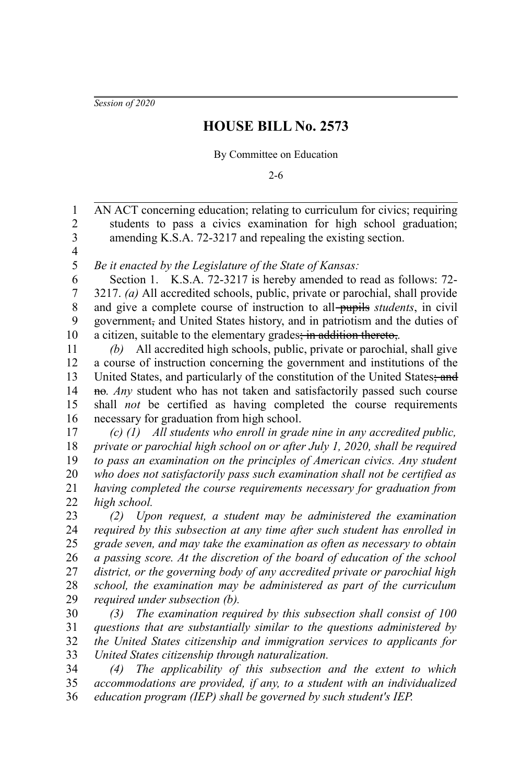*Session of 2020*

## **HOUSE BILL No. 2573**

By Committee on Education

2-6

AN ACT concerning education; relating to curriculum for civics; requiring students to pass a civics examination for high school graduation; amending K.S.A. 72-3217 and repealing the existing section. 1 2 3

4 5

*Be it enacted by the Legislature of the State of Kansas:*

Section 1. K.S.A. 72-3217 is hereby amended to read as follows: 72- 3217. *(a)* All accredited schools, public, private or parochial, shall provide and give a complete course of instruction to all-pupils *students*, in civil government, and United States history, and in patriotism and the duties of a citizen, suitable to the elementary grades; in addition thereto,*.* 6 7 8 9 10

*(b)* All accredited high schools, public, private or parochial, shall give a course of instruction concerning the government and institutions of the United States, and particularly of the constitution of the United States; and no. *Any* student who has not taken and satisfactorily passed such course shall *not* be certified as having completed the course requirements necessary for graduation from high school. 11 12 13 14 15 16

*(c) (1) All students who enroll in grade nine in any accredited public, private or parochial high school on or after July 1, 2020, shall be required to pass an examination on the principles of American civics. Any student who does not satisfactorily pass such examination shall not be certified as having completed the course requirements necessary for graduation from high school.* 17 18 19 20 21 22

*(2) Upon request, a student may be administered the examination required by this subsection at any time after such student has enrolled in grade seven, and may take the examination as often as necessary to obtain a passing score. At the discretion of the board of education of the school district, or the governing body of any accredited private or parochial high school, the examination may be administered as part of the curriculum required under subsection (b).* 23 24 25 26 27 28 29

*(3) The examination required by this subsection shall consist of 100 questions that are substantially similar to the questions administered by the United States citizenship and immigration services to applicants for United States citizenship through naturalization.* 30 31 32 33

*(4) The applicability of this subsection and the extent to which accommodations are provided, if any, to a student with an individualized education program (IEP) shall be governed by such student's IEP.* 34 35 36